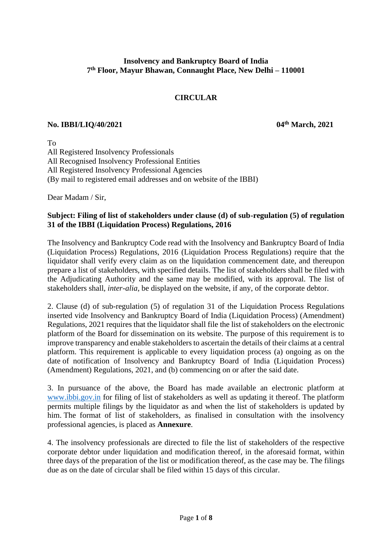# **Insolvency and Bankruptcy Board of India 7 th Floor, Mayur Bhawan, Connaught Place, New Delhi – 110001**

# **CIRCULAR**

## **No. IBBI/LIQ/40/2021 04th March, 2021**

To All Registered Insolvency Professionals All Recognised Insolvency Professional Entities All Registered Insolvency Professional Agencies (By mail to registered email addresses and on website of the IBBI)

Dear Madam / Sir,

# **Subject: Filing of list of stakeholders under clause (d) of sub-regulation (5) of regulation 31 of the IBBI (Liquidation Process) Regulations, 2016**

The Insolvency and Bankruptcy Code read with the Insolvency and Bankruptcy Board of India (Liquidation Process) Regulations, 2016 (Liquidation Process Regulations) require that the liquidator shall verify every claim as on the liquidation commencement date, and thereupon prepare a list of stakeholders, with specified details. The list of stakeholders shall be filed with the Adjudicating Authority and the same may be modified, with its approval. The list of stakeholders shall, *inter-alia*, be displayed on the website, if any, of the corporate debtor.

2. Clause (d) of sub-regulation (5) of regulation 31 of the Liquidation Process Regulations inserted vide Insolvency and Bankruptcy Board of India (Liquidation Process) (Amendment) Regulations, 2021 requires that the liquidator shall file the list of stakeholders on the electronic platform of the Board for dissemination on its website. The purpose of this requirement is to improve transparency and enable stakeholders to ascertain the details of their claims at a central platform. This requirement is applicable to every liquidation process (a) ongoing as on the date of notification of Insolvency and Bankruptcy Board of India (Liquidation Process) (Amendment) Regulations, 2021, and (b) commencing on or after the said date.

3. In pursuance of the above, the Board has made available an electronic platform at [www.ibbi.gov.in](http://www.ibbi.gov.in/) for filing of list of stakeholders as well as updating it thereof. The platform permits multiple filings by the liquidator as and when the list of stakeholders is updated by him. The format of list of stakeholders, as finalised in consultation with the insolvency professional agencies, is placed as **Annexure**.

4. The insolvency professionals are directed to file the list of stakeholders of the respective corporate debtor under liquidation and modification thereof, in the aforesaid format, within three days of the preparation of the list or modification thereof, as the case may be. The filings due as on the date of circular shall be filed within 15 days of this circular.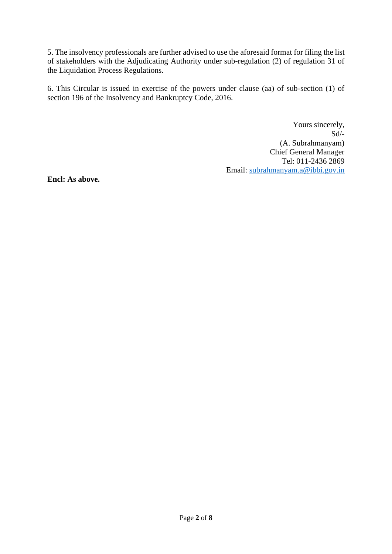5. The insolvency professionals are further advised to use the aforesaid format for filing the list of stakeholders with the Adjudicating Authority under sub-regulation (2) of regulation 31 of the Liquidation Process Regulations.

6. This Circular is issued in exercise of the powers under clause (aa) of sub-section (1) of section 196 of the Insolvency and Bankruptcy Code, 2016.

> Yours sincerely, Sd/- (A. Subrahmanyam) Chief General Manager Tel: 011-2436 2869 Email: [subrahmanyam.a@ibbi.gov.in](mailto:subrahmanyam.a@ibbi.gov.in)

**Encl: As above.**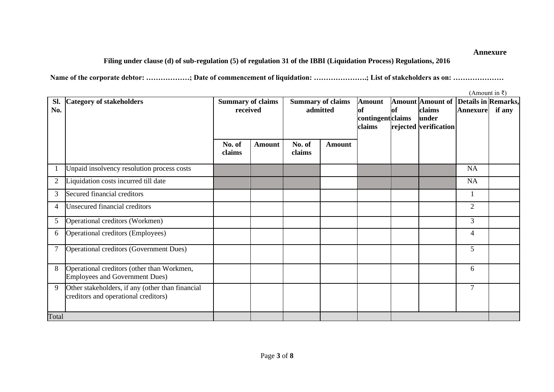# **Filing under clause (d) of sub-regulation (5) of regulation 31 of the IBBI (Liquidation Process) Regulations, 2016**

**Name of the corporate debtor: ………………; Date of commencement of liquidation: ………………….; List of stakeholders as on: …………………**

|                |                                                  |                          |               |        |                          | (Amount in $\bar{x}$ ) |           |                         |                     |        |  |
|----------------|--------------------------------------------------|--------------------------|---------------|--------|--------------------------|------------------------|-----------|-------------------------|---------------------|--------|--|
| SI.            | <b>Category of stakeholders</b>                  | <b>Summary of claims</b> |               |        | <b>Summary of claims</b> | <b>Amount</b>          |           | <b>Amount Amount of</b> | Details in Remarks, |        |  |
| No.            |                                                  | received                 |               |        | admitted                 | lof                    | <b>of</b> | claims                  | <b>Annexure</b>     | if any |  |
|                |                                                  |                          |               |        |                          | contingentclaims       |           | lunder                  |                     |        |  |
|                |                                                  |                          |               |        |                          | claims                 |           | rejected verification   |                     |        |  |
|                |                                                  |                          |               |        |                          |                        |           |                         |                     |        |  |
|                |                                                  | No. of                   | <b>Amount</b> | No. of | <b>Amount</b>            |                        |           |                         |                     |        |  |
|                |                                                  | claims                   |               | claims |                          |                        |           |                         |                     |        |  |
|                |                                                  |                          |               |        |                          |                        |           |                         |                     |        |  |
|                | Unpaid insolvency resolution process costs       |                          |               |        |                          |                        |           |                         | <b>NA</b>           |        |  |
| $\mathbf{2}$   | Liquidation costs incurred till date             |                          |               |        |                          |                        |           |                         | NA                  |        |  |
| 3              | Secured financial creditors                      |                          |               |        |                          |                        |           |                         |                     |        |  |
| 4              | <b>Unsecured financial creditors</b>             |                          |               |        |                          |                        |           |                         | $\overline{2}$      |        |  |
| 5              | Operational creditors (Workmen)                  |                          |               |        |                          |                        |           |                         | $\overline{3}$      |        |  |
| 6              | Operational creditors (Employees)                |                          |               |        |                          |                        |           |                         | 4                   |        |  |
|                |                                                  |                          |               |        |                          |                        |           |                         |                     |        |  |
| $\overline{7}$ | Operational creditors (Government Dues)          |                          |               |        |                          |                        |           |                         | 5                   |        |  |
|                |                                                  |                          |               |        |                          |                        |           |                         |                     |        |  |
| 8              | Operational creditors (other than Workmen,       |                          |               |        |                          |                        |           |                         | 6                   |        |  |
|                | <b>Employees and Government Dues)</b>            |                          |               |        |                          |                        |           |                         |                     |        |  |
| 9              | Other stakeholders, if any (other than financial |                          |               |        |                          |                        |           |                         | $\overline{7}$      |        |  |
|                | creditors and operational creditors)             |                          |               |        |                          |                        |           |                         |                     |        |  |
|                |                                                  |                          |               |        |                          |                        |           |                         |                     |        |  |
| Total          |                                                  |                          |               |        |                          |                        |           |                         |                     |        |  |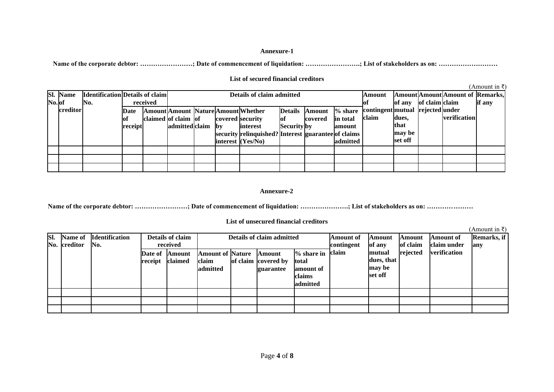Name of the corporate debtor: ………………………; Date of commencement of liquidation: ……………………; List of stakeholders as on: ……………………………………

|       |          |                                        |         |          |                     |                                                                              |  |                                                     |                    |         |          |                                  |         |                |                                   | $(A$ mount in ₹) |
|-------|----------|----------------------------------------|---------|----------|---------------------|------------------------------------------------------------------------------|--|-----------------------------------------------------|--------------------|---------|----------|----------------------------------|---------|----------------|-----------------------------------|------------------|
|       | Sl. Name | <b>Identification</b> Details of claim |         |          |                     | Details of claim admitted                                                    |  |                                                     |                    |         |          |                                  |         |                | Amount Amount Amount of  Remarks, |                  |
| No.of |          | No.                                    |         | received |                     |                                                                              |  |                                                     |                    |         |          |                                  | of any  | of claim claim |                                   | if any           |
|       | creditor |                                        | Date    |          |                     | <b>Details</b><br>$%$ share<br>Amount Amount Nature Amount Whether<br>Amount |  |                                                     |                    |         |          | contingent mutual rejected under |         |                |                                   |                  |
|       |          |                                        | Оİ      |          | claimed of claim of |                                                                              |  | covered security                                    | lof                | covered | in total | claim                            | dues.   |                | verification                      |                  |
|       |          |                                        | receipt |          | admitted claim by   |                                                                              |  | interest                                            | <b>Security</b> by |         | amount   |                                  | that    |                |                                   |                  |
|       |          |                                        |         |          |                     |                                                                              |  | security relinquished? Interest guarantee of claims |                    |         |          |                                  | may be  |                |                                   |                  |
|       |          |                                        |         |          |                     |                                                                              |  | interest $(Yes/No)$                                 |                    |         | admitted |                                  | set off |                |                                   |                  |
|       |          |                                        |         |          |                     |                                                                              |  |                                                     |                    |         |          |                                  |         |                |                                   |                  |
|       |          |                                        |         |          |                     |                                                                              |  |                                                     |                    |         |          |                                  |         |                |                                   |                  |
|       |          |                                        |         |          |                     |                                                                              |  |                                                     |                    |         |          |                                  |         |                |                                   |                  |

## **List of secured financial creditors**

### **Annexure-2**

**Name of the corporate debtor: ……………………; Date of commencement of liquidation: ………………….; List of stakeholders as on: …………………**

### **List of unsecured financial creditors**

| SI. | <b>Name of</b><br>No. creditor | <b>Identification</b><br>No. |                    | <b>Details of claim</b><br>received |                                              | Details of claim admitted                         |                                                                 | Amount of<br>contingent | Amount<br>of any                          | Amount<br>of claim | Amount of<br>claim under | Remarks, if<br>any |
|-----|--------------------------------|------------------------------|--------------------|-------------------------------------|----------------------------------------------|---------------------------------------------------|-----------------------------------------------------------------|-------------------------|-------------------------------------------|--------------------|--------------------------|--------------------|
|     |                                |                              | Date of<br>receipt | Amount<br>claimed                   | <b>Amount of Nature</b><br>claim<br>admitted | <b>Amount</b><br>of claim covered by<br>guarantee | $%$ share in<br>total<br>amount of<br><b>claims</b><br>admitted | claim                   | mutual<br>dues, that<br>may be<br>set off | rejected           | verification             |                    |
|     |                                |                              |                    |                                     |                                              |                                                   |                                                                 |                         |                                           |                    |                          |                    |
|     |                                |                              |                    |                                     |                                              |                                                   |                                                                 |                         |                                           |                    |                          |                    |
|     |                                |                              |                    |                                     |                                              |                                                   |                                                                 |                         |                                           |                    |                          |                    |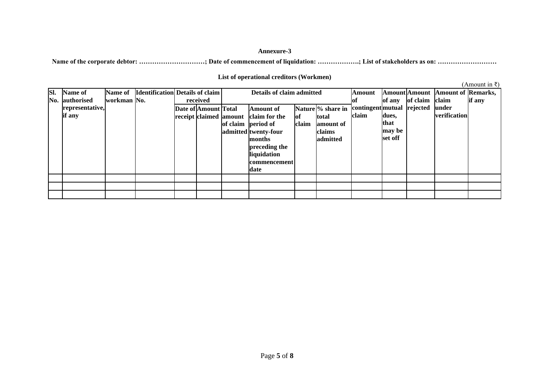**Name of the corporate debtor: …………………………; Date of commencement of liquidation: ……………….; List of stakeholders as on: ………………………**

### **List of operational creditors (Workmen)**

| SI. | Name of         |             | Name of  Identification  Details of claim |                      | Details of claim admitted            |       | Amount            |                            |         | Amount Amount Amount of Remarks, |              |        |
|-----|-----------------|-------------|-------------------------------------------|----------------------|--------------------------------------|-------|-------------------|----------------------------|---------|----------------------------------|--------------|--------|
| No. | authorised      | workman No. |                                           | received             |                                      |       |                   |                            | of any  | of claim                         | claim        | if any |
|     | representative, |             |                                           | Date of Amount Total | Amount of                            |       | Nature % share in | contingent mutual rejected |         |                                  | <b>under</b> |        |
|     | if any          |             |                                           |                      | receipt claimed amount claim for the | lof   | total             | claim                      | dues,   |                                  | verification |        |
|     |                 |             |                                           |                      | of claim period of                   | claim | amount of         |                            | that    |                                  |              |        |
|     |                 |             |                                           |                      | admitted twenty-four                 |       | claims            |                            | may be  |                                  |              |        |
|     |                 |             |                                           |                      | months                               |       | admitted          |                            | set off |                                  |              |        |
|     |                 |             |                                           |                      | preceding the                        |       |                   |                            |         |                                  |              |        |
|     |                 |             |                                           |                      | liquidation                          |       |                   |                            |         |                                  |              |        |
|     |                 |             |                                           |                      | commencement                         |       |                   |                            |         |                                  |              |        |
|     |                 |             |                                           |                      | date                                 |       |                   |                            |         |                                  |              |        |
|     |                 |             |                                           |                      |                                      |       |                   |                            |         |                                  |              |        |
|     |                 |             |                                           |                      |                                      |       |                   |                            |         |                                  |              |        |
|     |                 |             |                                           |                      |                                      |       |                   |                            |         |                                  |              |        |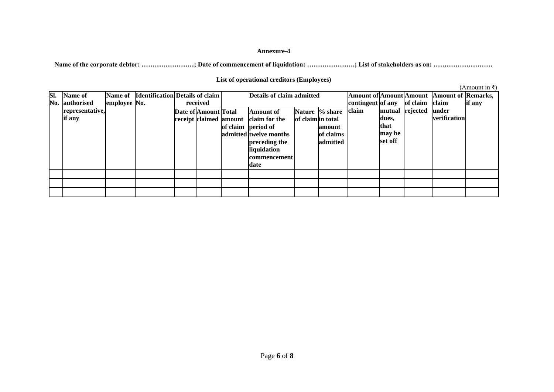Name of the corporate debtor: ……………………; Date of commencement of liquidation: …………………; List of stakeholders as on: ……………………………

### **List of operational creditors (Employees)**

| SI. | <b>Name of</b><br>No. authorised | employee No. | Name of Identification Details of claim | received             | Details of claim admitted                                                                                                                                        | contingent of any |                                                    | of claim | <b>Amount of Amount Amount   Amount of Remarks,</b><br>claim | if any          |                       |  |
|-----|----------------------------------|--------------|-----------------------------------------|----------------------|------------------------------------------------------------------------------------------------------------------------------------------------------------------|-------------------|----------------------------------------------------|----------|--------------------------------------------------------------|-----------------|-----------------------|--|
|     | representative,<br>if any        |              |                                         | Date of Amount Total | Amount of<br>receipt claimed amount claim for the<br>of claim period of<br>admitted twelve months<br>preceding the<br>liquidation<br><b>commencement</b><br>date | of claim in total | Nature % share<br>lamount<br>of claims<br>admitted | claim    | dues,<br>that<br>may be<br>set off                           | mutual rejected | under<br>verification |  |
|     |                                  |              |                                         |                      |                                                                                                                                                                  |                   |                                                    |          |                                                              |                 |                       |  |
|     |                                  |              |                                         |                      |                                                                                                                                                                  |                   |                                                    |          |                                                              |                 |                       |  |
|     |                                  |              |                                         |                      |                                                                                                                                                                  |                   |                                                    |          |                                                              |                 |                       |  |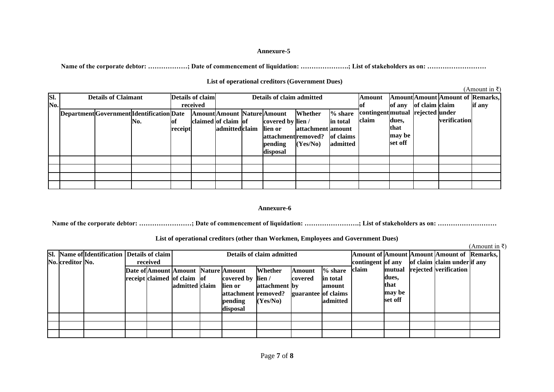**Name of the corporate debtor: ………………; Date of commencement of liquidation: ………………….; List of stakeholders as on: ………………………**

### **List of operational creditors (Government Dues)**

 $(4$  mount in  $\bar{z}$ )

|     |                            |                                           |         |                  |                     |                                  |                                    |                   |           |                                  |         |                |                                         | u modulu m |
|-----|----------------------------|-------------------------------------------|---------|------------------|---------------------|----------------------------------|------------------------------------|-------------------|-----------|----------------------------------|---------|----------------|-----------------------------------------|------------|
| SI. | <b>Details of Claimant</b> |                                           |         | Details of claim |                     |                                  | Details of claim admitted          |                   |           | Amount                           |         |                | <b>Amount</b> Amount Amount of Remarks, |            |
| No. |                            |                                           |         | received         |                     |                                  |                                    |                   |           |                                  | of any  | of claim claim |                                         | if any     |
|     |                            | Department Government Identification Date |         |                  |                     |                                  | <b>Amount</b> Amount Nature Amount | Whether           | $%$ share | contingent mutual rejected under |         |                |                                         |            |
|     |                            | No.                                       | lof     |                  | claimed of claim of |                                  | covered by lien /                  |                   | in total  | claim                            | dues,   |                | verification                            |            |
|     |                            |                                           | receipt |                  | admittedclaim       |                                  | lien or                            | attachment amount |           |                                  | that    |                |                                         |            |
|     |                            |                                           |         |                  |                     | of claims<br>attachment removed? |                                    |                   |           |                                  |         |                |                                         |            |
|     |                            |                                           |         |                  |                     |                                  | pending                            | (Yes/No)          | admitted  |                                  | set off |                |                                         |            |
|     |                            |                                           |         |                  |                     |                                  | disposal                           |                   |           |                                  |         |                |                                         |            |
|     |                            |                                           |         |                  |                     |                                  |                                    |                   |           |                                  |         |                |                                         |            |
|     |                            |                                           |         |                  |                     |                                  |                                    |                   |           |                                  |         |                |                                         |            |
|     |                            |                                           |         |                  |                     |                                  |                                    |                   |           |                                  |         |                |                                         |            |
|     |                            |                                           |         |                  |                     |                                  |                                    |                   |           |                                  |         |                |                                         |            |

#### **Annexure-6**

Name of the corporate debtor: ………………………; Date of commencement of liquidation: ……………………; List of stakeholders as on: ……………………………………

### **List of operational creditors (other than Workmen, Employees and Government Dues)**

|                  |                                             |          |                                     |                     |                           |                     |           |                   |         |                                                   | лшочш ш |
|------------------|---------------------------------------------|----------|-------------------------------------|---------------------|---------------------------|---------------------|-----------|-------------------|---------|---------------------------------------------------|---------|
|                  | Sl. Name of Identification Details of claim |          |                                     |                     | Details of claim admitted |                     |           |                   |         | <b>Amount of Amount Amount Amount of Remarks,</b> |         |
| No. creditor No. |                                             | received |                                     |                     |                           |                     |           | contingent of any |         | of claim claim under if any                       |         |
|                  |                                             |          | Date of Amount Amount Nature Amount |                     | Whether                   | Amount              | $%$ share | claim             |         | mutual rejected verification                      |         |
|                  |                                             |          | receipt claimed of claim of         | covered by lien /   |                           | covered             | in total  |                   | dues,   |                                                   |         |
|                  |                                             |          | admitted claim                      | lien or             | attachment by             |                     | lamount   |                   | lthat   |                                                   |         |
|                  |                                             |          |                                     | attachment removed? |                           | guarantee of claims |           | may be            |         |                                                   |         |
|                  |                                             |          |                                     | pending             | (Yes/No)                  |                     | admitted  |                   | set off |                                                   |         |
|                  |                                             |          |                                     | disposal            |                           |                     |           |                   |         |                                                   |         |
|                  |                                             |          |                                     |                     |                           |                     |           |                   |         |                                                   |         |
|                  |                                             |          |                                     |                     |                           |                     |           |                   |         |                                                   |         |
|                  |                                             |          |                                     |                     |                           |                     |           |                   |         |                                                   |         |